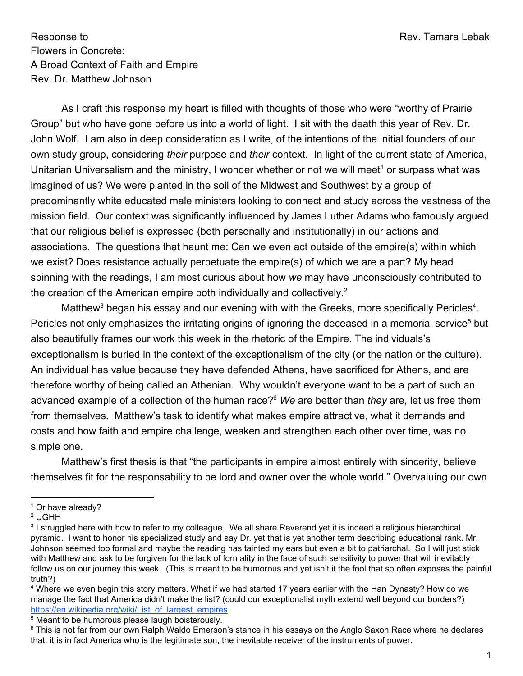Response to **Response to** Rev. Tamara Lebak Flowers in Concrete: A Broad Context of Faith and Empire Rev. Dr. Matthew Johnson

As I craft this response my heart is filled with thoughts of those who were "worthy of Prairie Group" but who have gone before us into a world of light. I sit with the death this year of Rev. Dr. John Wolf. I am also in deep consideration as I write, of the intentions of the initial founders of our own study group, considering *their* purpose and *their* context. In light of the current state of America, Unitarian Universalism and the ministry, I wonder whether or not we will meet<sup>1</sup> or surpass what was imagined of us? We were planted in the soil of the Midwest and Southwest by a group of predominantly white educated male ministers looking to connect and study across the vastness of the mission field. Our context was significantly influenced by James Luther Adams who famously argued that our religious belief is expressed (both personally and institutionally) in our actions and associations. The questions that haunt me: Can we even act outside of the empire(s) within which we exist? Does resistance actually perpetuate the empire(s) of which we are a part? My head spinning with the readings, I am most curious about how *we* may have unconsciously contributed to the creation of the American empire both individually and collectively.<sup>2</sup>

Matthew<sup>3</sup> began his essay and our evening with with the Greeks, more specifically Pericles<sup>4</sup>. Pericles not only emphasizes the irritating origins of ignoring the deceased in a memorial service<sup>5</sup> but also beautifully frames our work this week in the rhetoric of the Empire. The individuals's exceptionalism is buried in the context of the exceptionalism of the city (or the nation or the culture). An individual has value because they have defended Athens, have sacrificed for Athens, and are therefore worthy of being called an Athenian. Why wouldn't everyone want to be a part of such an advanced example of a collection of the human race?<sup>6</sup> *We* are better than *they* are, let us free them from themselves. Matthew's task to identify what makes empire attractive, what it demands and costs and how faith and empire challenge, weaken and strengthen each other over time, was no simple one.

Matthew's first thesis is that "the participants in empire almost entirely with sincerity, believe themselves fit for the responsability to be lord and owner over the whole world." Overvaluing our own

<sup>&</sup>lt;sup>1</sup> Or have already?

<sup>2</sup> UGHH

<sup>&</sup>lt;sup>3</sup> I struggled here with how to refer to my colleague. We all share Reverend yet it is indeed a religious hierarchical pyramid. I want to honor his specialized study and say Dr. yet that is yet another term describing educational rank. Mr. Johnson seemed too formal and maybe the reading has tainted my ears but even a bit to patriarchal. So I will just stick with Matthew and ask to be forgiven for the lack of formality in the face of such sensitivity to power that will inevitably follow us on our journey this week. (This is meant to be humorous and yet isn't it the fool that so often exposes the painful truth?)

<sup>4</sup> Where we even begin this story matters. What if we had started 17 years earlier with the Han Dynasty? How do we manage the fact that America didn't make the list? (could our exceptionalist myth extend well beyond our borders?) [https://en.wikipedia.org/wiki/List\\_of\\_largest\\_empires](https://en.wikipedia.org/wiki/List_of_largest_empires)

<sup>&</sup>lt;sup>5</sup> Meant to be humorous please laugh boisterously.

<sup>&</sup>lt;sup>6</sup> This is not far from our own Ralph Waldo Emerson's stance in his essays on the Anglo Saxon Race where he declares that: it is in fact America who is the legitimate son, the inevitable receiver of the instruments of power.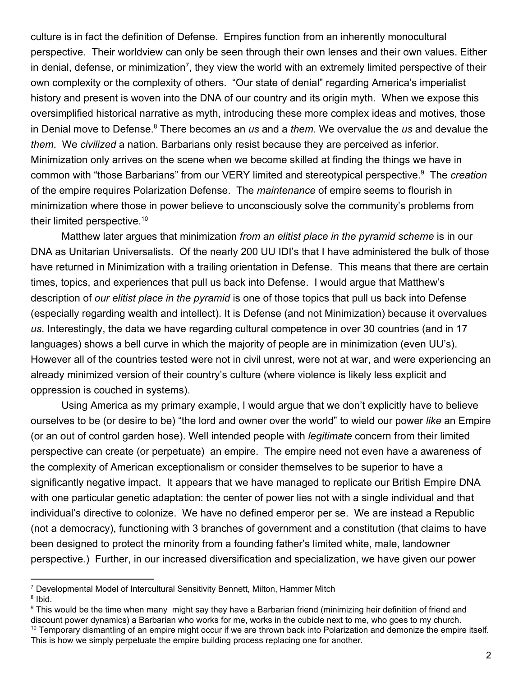culture is in fact the definition of Defense. Empires function from an inherently monocultural perspective. Their worldview can only be seen through their own lenses and their own values. Either in denial, defense, or minimization<sup>7</sup>, they view the world with an extremely limited perspective of their own complexity or the complexity of others. "Our state of denial" regarding America's imperialist history and present is woven into the DNA of our country and its origin myth. When we expose this oversimplified historical narrative as myth, introducing these more complex ideas and motives, those in Denial move to Defense.<sup>8</sup> There becomes an *us* and a *them*. We overvalue the *us* and devalue the *them*. We *civilized* a nation. Barbarians only resist because they are perceived as inferior. Minimization only arrives on the scene when we become skilled at finding the things we have in common with "those Barbarians" from our VERY limited and stereotypical perspective.<sup>9</sup> The *creation* of the empire requires Polarization Defense. The *maintenance* of empire seems to flourish in minimization where those in power believe to unconsciously solve the community's problems from their limited perspective.<sup>10</sup>

Matthew later argues that minimization *from an elitist place in the pyramid scheme* is in our DNA as Unitarian Universalists. Of the nearly 200 UU IDI's that I have administered the bulk of those have returned in Minimization with a trailing orientation in Defense. This means that there are certain times, topics, and experiences that pull us back into Defense. I would argue that Matthew's description of *our elitist place in the pyramid* is one of those topics that pull us back into Defense (especially regarding wealth and intellect). It is Defense (and not Minimization) because it overvalues *us*. Interestingly, the data we have regarding cultural competence in over 30 countries (and in 17 languages) shows a bell curve in which the majority of people are in minimization (even UU's). However all of the countries tested were not in civil unrest, were not at war, and were experiencing an already minimized version of their country's culture (where violence is likely less explicit and oppression is couched in systems).

Using America as my primary example, I would argue that we don't explicitly have to believe ourselves to be (or desire to be) "the lord and owner over the world" to wield our power *like* an Empire (or an out of control garden hose). Well intended people with *legitimate* concern from their limited perspective can create (or perpetuate) an empire. The empire need not even have a awareness of the complexity of American exceptionalism or consider themselves to be superior to have a significantly negative impact. It appears that we have managed to replicate our British Empire DNA with one particular genetic adaptation: the center of power lies not with a single individual and that individual's directive to colonize. We have no defined emperor per se. We are instead a Republic (not a democracy), functioning with 3 branches of government and a constitution (that claims to have been designed to protect the minority from a founding father's limited white, male, landowner perspective.) Further, in our increased diversification and specialization, we have given our power

<sup>7</sup> Developmental Model of Intercultural Sensitivity Bennett, Milton, Hammer Mitch <sup>8</sup> Ibid.

<sup>9</sup> This would be the time when many might say they have a Barbarian friend (minimizing heir definition of friend and discount power dynamics) a Barbarian who works for me, works in the cubicle next to me, who goes to my church.  $10$  Temporary dismantling of an empire might occur if we are thrown back into Polarization and demonize the empire itself. This is how we simply perpetuate the empire building process replacing one for another.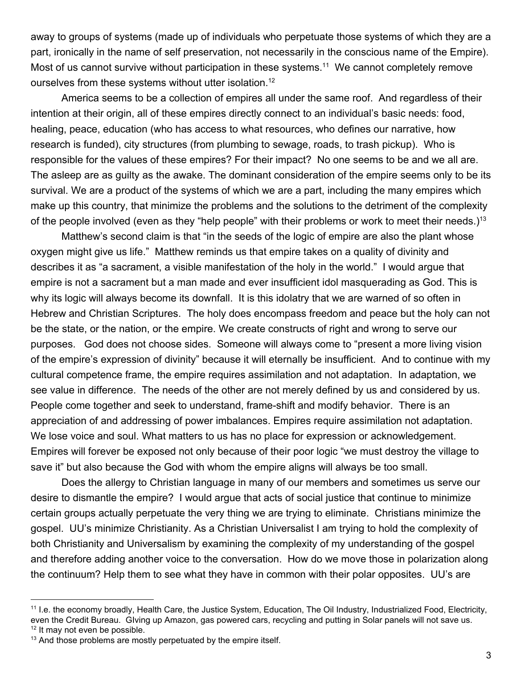away to groups of systems (made up of individuals who perpetuate those systems of which they are a part, ironically in the name of self preservation, not necessarily in the conscious name of the Empire). Most of us cannot survive without participation in these systems.<sup>11</sup> We cannot completely remove ourselves from these systems without utter isolation.<sup>12</sup>

America seems to be a collection of empires all under the same roof. And regardless of their intention at their origin, all of these empires directly connect to an individual's basic needs: food, healing, peace, education (who has access to what resources, who defines our narrative, how research is funded), city structures (from plumbing to sewage, roads, to trash pickup). Who is responsible for the values of these empires? For their impact? No one seems to be and we all are. The asleep are as guilty as the awake. The dominant consideration of the empire seems only to be its survival. We are a product of the systems of which we are a part, including the many empires which make up this country, that minimize the problems and the solutions to the detriment of the complexity of the people involved (even as they "help people" with their problems or work to meet their needs.)<sup>13</sup>

Matthew's second claim is that "in the seeds of the logic of empire are also the plant whose oxygen might give us life." Matthew reminds us that empire takes on a quality of divinity and describes it as "a sacrament, a visible manifestation of the holy in the world." I would argue that empire is not a sacrament but a man made and ever insufficient idol masquerading as God. This is why its logic will always become its downfall. It is this idolatry that we are warned of so often in Hebrew and Christian Scriptures. The holy does encompass freedom and peace but the holy can not be the state, or the nation, or the empire. We create constructs of right and wrong to serve our purposes. God does not choose sides. Someone will always come to "present a more living vision of the empire's expression of divinity" because it will eternally be insufficient. And to continue with my cultural competence frame, the empire requires assimilation and not adaptation. In adaptation, we see value in difference. The needs of the other are not merely defined by us and considered by us. People come together and seek to understand, frame-shift and modify behavior. There is an appreciation of and addressing of power imbalances. Empires require assimilation not adaptation. We lose voice and soul. What matters to us has no place for expression or acknowledgement. Empires will forever be exposed not only because of their poor logic "we must destroy the village to save it" but also because the God with whom the empire aligns will always be too small.

Does the allergy to Christian language in many of our members and sometimes us serve our desire to dismantle the empire? I would argue that acts of social justice that continue to minimize certain groups actually perpetuate the very thing we are trying to eliminate. Christians minimize the gospel. UU's minimize Christianity. As a Christian Universalist I am trying to hold the complexity of both Christianity and Universalism by examining the complexity of my understanding of the gospel and therefore adding another voice to the conversation. How do we move those in polarization along the continuum? Help them to see what they have in common with their polar opposites. UU's are

<sup>11</sup> I.e. the economy broadly, Health Care, the Justice System, Education, The Oil Industry, Industrialized Food, Electricity, even the Credit Bureau. GIving up Amazon, gas powered cars, recycling and putting in Solar panels will not save us.  $12$  It may not even be possible.

 $13$  And those problems are mostly perpetuated by the empire itself.